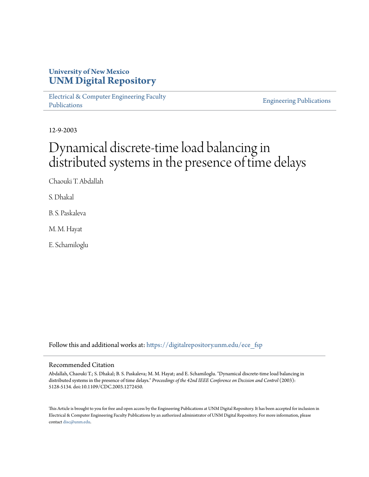## **University of New Mexico [UNM Digital Repository](https://digitalrepository.unm.edu?utm_source=digitalrepository.unm.edu%2Fece_fsp%2F220&utm_medium=PDF&utm_campaign=PDFCoverPages)**

[Electrical & Computer Engineering Faculty](https://digitalrepository.unm.edu/ece_fsp?utm_source=digitalrepository.unm.edu%2Fece_fsp%2F220&utm_medium=PDF&utm_campaign=PDFCoverPages) [Publications](https://digitalrepository.unm.edu/ece_fsp?utm_source=digitalrepository.unm.edu%2Fece_fsp%2F220&utm_medium=PDF&utm_campaign=PDFCoverPages)

[Engineering Publications](https://digitalrepository.unm.edu/eng_fsp?utm_source=digitalrepository.unm.edu%2Fece_fsp%2F220&utm_medium=PDF&utm_campaign=PDFCoverPages)

12-9-2003

# Dynamical discrete-time load balancing in distributed systems in the presence of time delays

Chaouki T. Abdallah

S. Dhakal

B. S. Paskaleva

M. M. Hayat

E. Schamiloglu

Follow this and additional works at: [https://digitalrepository.unm.edu/ece\\_fsp](https://digitalrepository.unm.edu/ece_fsp?utm_source=digitalrepository.unm.edu%2Fece_fsp%2F220&utm_medium=PDF&utm_campaign=PDFCoverPages)

### Recommended Citation

Abdallah, Chaouki T.; S. Dhakal; B. S. Paskaleva; M. M. Hayat; and E. Schamiloglu. "Dynamical discrete-time load balancing in distributed systems in the presence of time delays." *Proceedings of the 42nd IEEE Conference on Decision and Control* (2003): 5128-5134. doi:10.1109/CDC.2003.1272450.

This Article is brought to you for free and open access by the Engineering Publications at UNM Digital Repository. It has been accepted for inclusion in Electrical & Computer Engineering Faculty Publications by an authorized administrator of UNM Digital Repository. For more information, please contact [disc@unm.edu.](mailto:disc@unm.edu)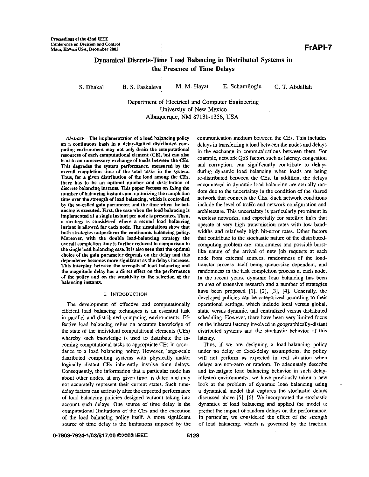## **Dynamical Discrete-Time Load Balancing in Distributed Systems in the'presence of Time Delays**

**S.** Dhaka1 B. **S.** Paskaleva **M.** M. Hayat E. Schamiloglu C. T. Abdallah

Department of Electrical and Computer Engineering University of New Mexico Albuquerque, **NM** 87131-1356, USA

Abstract-The implementation of a load balancing policy on a continuous basis in a delay-limited distributed computing environment may not only drain the computational resources of each computational element **(CE),** hut can also lead to an unnecessary exchange of loads between the **CEs.**  This degrades the system performance, measured by the overall completion time of the total **tasks** in the system. Thus, for a given distribution of the load among the **CEs,**  there **has** to he an optimal number and distribution of discrete balancing instants. This paper focuses on **fxing** the number **of** balancing instants and optimizing the completion time over the strength of load balancing, which is controlled by the so-called gain parameter, and the time when the balancing is executed. First, the case when the load balancing **is**  implemented at **a** single instant per node **is** presented. Then, a strategy is considered where a second load balancing instant is allowed for each node. The simulations show that both strategies outperform the continuous balancing policy. Moreover, with the double load-balancing strategy the overall completion time is further reduced in comparison to the single load balancing case. It is also seen that the optimal choice of the gain parameter depends on the delay and this dependence becomes more significant as the delays increase. This interplay between the strength of load balancing and the magnitude delay has a direct effect on the performance of the policy and on the sensitirity to the selection of the balancing instants.

#### I. **INTRODUCTION**

The development of effective and computationally effcient load balancing techniques is an essential task in parallel and distributed computing environments. Effective load balancing relies on accurate knowledge of the state of the individual computational elements (CEs) whereby such knowledge is used to distribute the incoming computational tasks to appropriate CEs in accordance to a load balancing policy. However, large-scale distributed computing systems with physically andor logically distant CEs inherently involve time delays. Consequently, the information that a particular node has about other nodes, at any given time, is dated and may not accurately represent their current states. Such timedelay factors can seriously alter the expected performance of load balancing policies designed without taking into account such delays. One source of time delay is the computational limitations of the CEs and the execution of the load balancing policy itself. A more signifcant source of time delay is the limitations imposed by the communication medium between the CEs. This includes delays in transferring a load between the nodes and delays in the exchange in communications between them. For example, network *QoS* factors such as latency, congestion and corruption, can signifcantly contribute to delays during dynamic load balancing when loads are being re-distributed between the CEs. In addition, the delays encountered in dynamic load halancing are actually random due to the uncertainty **in** the condition of the shared network that connects the CEs. Such network conditions include the level of traffc and network confguration and architecture. This uncertainty is particularly prominent in wireless networks, and especially for satellite links that operate at very high transmission rates with low bandwidths and relatively high bit-error rates. Other factors that contribute to the stochastic nature of the distrihutedcomputing problem **are:** randomness and possible burstlike nature of the arrival of new job requests at each node from external sources, randomness of the loadtransfer process itself being queue-size dependent, and randomness in the task completion process at each node. In the recent years, dynamic load balancing has been an area of extensive research and a number of strategies have been proposed [I], **[Z], [3], [4].** Generally, the developed policies can be categorized according to their operational settings, which include local versus global, static versus dynamic, and centralized versus distributed scheduling. However, there have been very limited focus on the inherent latency involved in geographically-distant distributed systems and the stochastic behavior of this latency.

Thus, if we are designing a load-balancing policy under no delay or fxed-delay assumptions, the policy will not perform as expected in real situation when delays are non-zero or random. To adequately describe and investigate load balancing behavior in such delayinfested environments, we have previously taken a new look at the problem of dynamic load balancing using a dynamical model that captures the stochastic delays discussed above *[5], [6].* We incorporated the stochastic dynamics of load balancing and applied the model to predict the impact of random delays on the performance. In particular, we considered the effect of the suength of load balancing, which is govemed by the fraction,

**0-7803-7924-11031\$17.00** *02003* **IEEE 5128**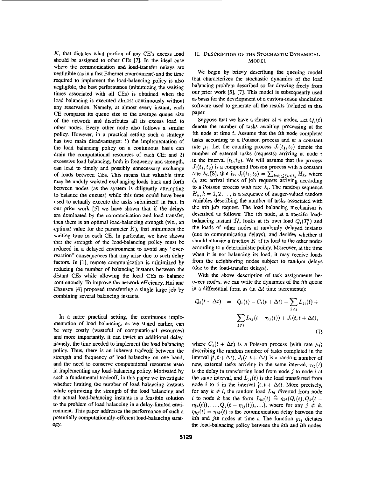K, that dictates what **poriion** of any **CEs** excess load should be assigned to other **CEs** [71. In the ideal case where the communication and load-transfer delays are negligible **(as** in a fast Ethernet environment) and the time required to implement the load-balancing policy is also negligible, the best performance (minimizing the waiting times associated with all **CEs)** is obtained when the load balancing is executed almost continuously without any reservation. Namely, at almost every instant, each CE compares its queue size to the average queue size of the network and distributes all its excess load to other nodes. Every other node also follows a similar policy. However, in a practical setting such a strategy has two main disadvantages: 1) the implementation of the load balancing policy **on** a continuous basis can drain the computational resources of each CE; and 2) excessive load balancing, both in frequency and strength, can lead to timely and possibly unnecessary exchange of loads between **CEs.** This means that valuable time may be unduly waisted exchanging loads back and forth between nodes (as the system is diligently attempting to balance the queues) while this time could have been used to actually execute the tasks submitted! In fact. in our prior work *[5]* we have shown that if the delays are dominated by the communication and load transfer, then there is an optimal load-balancing strength (viz., an optimal value for the parameter  $K$ ), that minimizes the waiting time in each CE. In patticular, we have shown that the strength of the load-balancing policy must be reduced in a delayed environment to avoid any "overreaction" consequences that may arise due to such delay factors. In [I], remote communication is minimized by reducing the number of balancing instants between the distant **CEs** while allowing the local **CEs** to balance continuously. To improve the network efficiency, Hui and Chanson **[41** proposed transferring a single large job by combining several balancing instants.

In a more practical setting, the continuous implementation of load balancing, as we stated earlier, can be very costly (wasteful of computational resources) and more importantly, it can invict an additional delay, namely, the time needed to implement the load balancing policy. Thus, there is an inherent tradeoff between the strength and frequency of load balancing on one hand, and the need to conserve computational resources used in implementing any load-balancing policy. Motivated by such a fundamental tradeoff, in this paper we investigate whether limiting the number of load balancing instants while optimizing the strength of the load balancing and the actual load-balancing instants is a feasible solution to the problem of load balancing in a delay-limited environment. This paper addresses the performance of such a potentially computationally-effcient load-balancing strategy.

#### **11. DESCRIPTION OF THE STOCHASTIC DYNAMICAL MODEL**

We begin by brie<sup>n</sup>y describing the queuing model that characterizes the stochastic dynamics of the load balancing problem described so far drawing freely from our prior work *[5],* **[7].** This model is subsequently used as basis for the development of **a** custom-made simulation software used to generate all the results included in this paper.

Suppose that we have a cluster of n nodes. Let  $Q_i(t)$ denote the number of tasks awaiting processing at the ith node at time *t.* Assume that the ith node completes **tasks** according to a Poisson process and *at* a constant rate  $\mu_i$ . Let the counting process  $J_i(t_1, t_2)$  denote the number of external tasks (requests) arriving at node *i*  in the interval  $(t_1, t_2)$ . We will assume that the process  $J_i(t_1, t_2)$  is a compound Poisson process with a constant rate  $\lambda_i$  [8], that is,  $J_i(t_1, t_2) = \sum_{k:t_1 \leq \xi_k \leq t_2} H_k$ , where  $\xi_k$  are arrival times of job requests arriving according to a Poisson process with rate  $\lambda_i$ . The random sequence  $H_k$ ,  $k = 1, 2, \ldots$ , is a sequence of integer-valued random variables describing the number of tasks associated with the kth job request. The load balancing mechanism is described **as** follows: The ith node, at a specifc **load**balancing instant  $T_i^i$ , looks at its own load  $Q_i(T_i^i)$  and the loads of other nodes at randomly delayed instants (due to communication delays), and decides whether it should allocate a fraction  $K$  of its load to the other nodes according to a deterministic policy. Moreover, at the time when it is not balancing its load, it may receive loads from the neighboring nodes subject to random delays (due to the load-transfer delays).

With the above description of task assignments between nodes, we can write the dynamics of the *i*th queue in a differential form as (in  $\Delta t$  time increments):

$$
Q_i(t + \Delta t) = Q_i(t) - C_i(t + \Delta t) - \sum_{j \neq i} L_{ji}(t) + \sum_{j \neq i} L_{ij}(t - \tau_{ij}(t)) + J_i(t, t + \Delta t),
$$
\n(1)

where  $C_i(t + \Delta t)$  is a Poisson process (with rate  $\mu_i$ ) describing the random number of tasks completed in the interval  $[t, t + \Delta t)$ ,  $J_i(t, t + \Delta t)$  is a random number of new, external tasks arriving in the same interval,  $\tau_{ij}(t)$ is the delay in transferring load from node  $j$  to node  $i$  at the same interval, and  $L_{ji}(t)$  is the load transferred from node *i* to *j* in the interval  $[t, t + \Delta t)$ . More precisely, for any  $k \neq l$ , the random load  $L_{kl}$  diverted from node *l* to node k has the form  $L_{kl}(t) \triangleq g_{kl}(Q_l(t), Q_k(t \eta_{ik}(t)$ ,  $\ldots$ ,  $Q_j(t - \eta_{lj}(t))$ ,  $\ldots$ , where for any  $j \neq k$ ,  $\eta_{kj}(t) = \eta_{jk}(t)$  is the communication delay between the kth and jth nodes at time  $t$ . The function  $g_{kl}$  dictates the load-balancing policy between the *kth* and Ith nodes.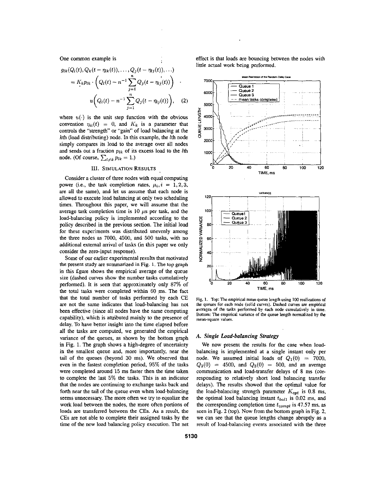One common example is

$$
g_{lk}(Q_l(t), Q_k(t - \eta_{lk}(t)), \ldots, Q_j(t - \eta_{lj}(t)), \ldots)
$$
  
=  $K_k p_{lk} \cdot \left( Q_l(t) - n^{-1} \sum_{j=1}^n Q_j(t - \eta_{lj}(t)) \right)$   

$$
u \left( Q_l(t) - n^{-1} \sum_{j=1}^n Q_j(t - \eta_{lj}(t)) \right), \quad (2)
$$

where  $u(\cdot)$  is the unit step function with the obvious convention  $\eta_{ii}(t) = 0$ , and  $K_k$  is a parameter that controls the "strength" or "gain" of load balancing at the kth (load distributing) node. In this example, the lth node simply compares its load to the average over all nodes and sends out a fraction *plk* of its excess load to the *lth*  node. (Of course,  $\sum_{l \neq k} p_{lk} = 1.$ )

#### **111. SIMULATION RESULTS**

Consider a cluster of three nodes with equal computing power (i.e., the task completion rates,  $\mu_i$ ,  $i = 1, 2, 3$ , are all the same), and let us assume that each node is allowed to execute load balancing at only two scheduling times. Throughout this paper, we will assume that the average task completion time is 10  $\mu$ s per task, and the load-balancing policy is implemented according to the policy described in the previous section. The initial load for these experiments was distributed unevenly among the three nodes as 7000, 4500, and 500 tasks, with no additional external arrival of tasks (in this paper we only consider the zero-input response).

Some of our earlier experimental results that motivated the present study are summarized in Fig. **1.** The **top graph**  in this fgure shows **the** empirical average of the queue size (dashed curves show the number tasks cumulatively performed). It is seen that approximately only 87% of the total tasks were completed within 60 ms. The fact that the total number of tasks performed by each **CE**  are not the same indicates that load-balancing has not been effective (since all nodes have the same computing capability), which is attributed mainly to the presence of delay. To have better insight into the time elapsed before all the tasks are computed, we generated the empirical variance of the queues, **as** shown by the bottom graph in Fig. 1. The graph shows a high-degree of uncertainty in the smallest queue and, more importantly, near the tail of the queues (beyond 30 ms). We observed that even in the fastest completion period, 95% of the tasks were completed around 15 ms faster then the time taken to complete the last 5% the tasks. This is an indicator that the nodes are continuing to exchange tasks back and forth near the tail of the queue even when load-balancing seems unnecessary. The more often we **try** to equalize the work load between the nodes, the more often portions of loads are transferred between the **CEs.** As a result, the **CEs** are not able to complete their assigned tasks by the time of the new load balancing policy execution. The net

effect is that loads *are* bouncing between the nodes with little actual work being performed.



Fig. 1. Top: The empirical mean queue length using 100 realizations of **the queues** for **each node (solid curves). Dashed curves are empirical averages of the mash performed by each** ncde **cumulatively in** lime. Bottom: The empirical variance of the queue length normalized by the mean-square values.

#### **A.** *Single bad-balancing Strategy*

We now present the results for the case when loadbalancing is implemented at a single instant only per node. We assumed initial loads of  $Q_1(0) = 7000$ ,  $Q_2(0) = 4500$ , and  $Q_3(0) = 500$ , and an average communication and load-transfer delays of 8 ms (corresponding to relatively short load balancing transfer delays). The results showed that the optimal value for the load-balancing strength parameter  $K_{opt}$  is 0.8 ms, the optimal load balancing instant  $t_{bal1}$  is 0.02 ms, and the corresponding completion time  $t_{compl}$  is 47.57 ms, as seen in [Fig. 2](#page-4-0) (top). Now from the bottom graph in Fig. 2, we can see that the queue lengths change abruptly as a result of load-balancing events associated with the three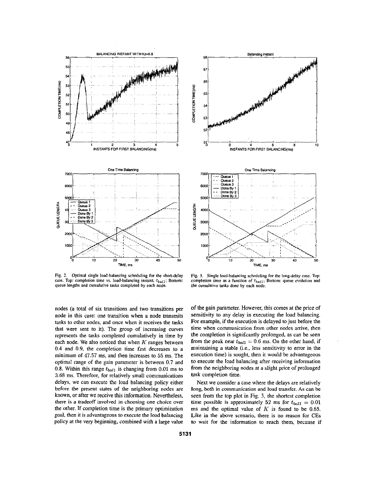<span id="page-4-0"></span>

**Fig. 2. Optimal single load-balancing scheduling for** the **shott-delay case. Top: completion time YS. load-balancing instant,** &,,I; **Bottom: queue lenghs and cumulative tasks completed by each node.** 





**Fig. 3. Single load-balancing scheduling for the long-delay case. Top: completion time as a function of**  $t_{ba/1}$ **; Bottom: queue evolution and the cumulative tasks done by each ncde.** 

of the gain parameter. However, this comes at the price of sensitivity to any delay in executing the load balancing. For example, if the execution is delayed to just before the time when communication from other nodes arrive, then the completion is signifcantly prolonged, **as** can be seen from the peak near  $t_{ball} = 0.6$  ms. On the other hand, if maintaining a stable (i.e., less sensitivity to error in the execution time) is sought, then it would be advantageous to execute the load balancing after receiving information from the neighboring nodes at a slight price of prolonged **task** completion time.

Next we consider a case where the delays are relatively long, **both** in communication **and** load transfer. **As** can be seen from the top plot in Fig. **3,** the shortest completion time possible is approximately 52 ms for  $t_{bal1} = 0.01$ **ms** and the optimal value of K is found to be 0.65. Like in the above scenario, there is no reason for **CEs to** wait **for** the information to reach them, because if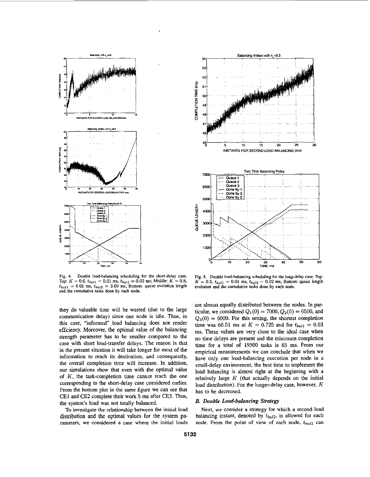<span id="page-5-0"></span>

**Fig. 4. Double load-balancing scheduling for the shan-delay case. Top:**  $K = 0.6$ ,  $t_{ball} = 0.01$  **ms,**  $t_{bal2} = 0.02$  **ms;** Middle:  $K = 0.8$ ,  $t_{bal1} = 0.01$  ms,  $t_{bal2} = 3.69$  ms; Bottom: queue evolution length **and the** cumulative **tasks done by each node.** 

they do valuable time will be wasted (due to the large communication delay) since one node is idle. Thus, in **this** case, "informed" load balancing does not render effciency. Moreover, the optimal value of the balancing strength parameter has to be smaller compared to the case with short load-transfer delays. The reason is that in the present situation it will take longer for most of the information to reach its destination, and consequently, the overall completion time will increase. In addition, our simulations show that even with the optimal value of K, the task-completion time cannot reach the one corresponding to the short-delay case considered earlier. From the bottom plot in the same fgure we can see that CEl and CE2 complete their work 5 ms after CE3. Thus, the system's load was not totally balanced.

To investigate the relationship between the initial load distribution and the optimal values for the system parameters, we considered a case where the initial loads



**Fig. 5. Double load-balancing scheduling for the long-delay case. Top:**   $K = 0.5$ ,  $t_{ball} = 0.01$  ms,  $t_{bal2} = 0.02$  ms; Bottom: queue length **evolution and the cumulative msks done by each node.** 

are almost equally distributed between the nodes. In particular, we considered  $Q_1(0) = 7000, Q_2(0) = 6500$ , and  $Q_3(0) = 6000$ . For this setting, the shortest completion time was 66.51 ms at  $K = 0.725$  and for  $t_{ball} = 0.63$ ms. These values are very close to the ideal case when no time delays are present and the minimum completion time for a total of 19500 tasks is 65 ms. From our empirical measurements we can conclude that when we have only one load-balancing execution per node in a small-delay environment, the best time to implement the load balancing is almost right at the beginning with **a**  relatively large  $K$  (that actually depends on the initial load distribution). For the longer-delay case, however, K has to be decreased.

#### *B. Double Load-balancing Strategy*

Next, we consider a strategy for which a second load balancing instant, denoted by  $t_{bal2}$ , is allowed for each node. From the point of view of each node,  $t_{bal2}$  can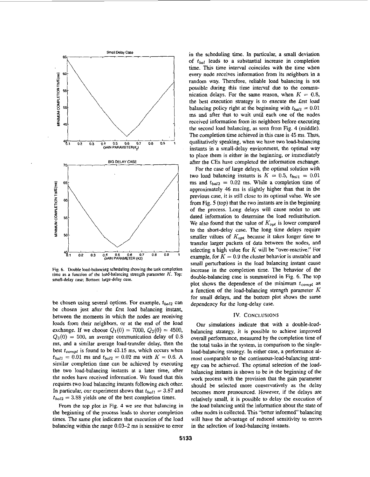

Fig. 6. Double load-balancing scheduling showing the task completion **time as a function of lhe load-balancing svenyth parameter** *K.* **Top: small-delay case: Bottom: large-delay case.** 

be chosen using several options. For example,  $t_{bal2}$  can be chosen just after the Erst load balancing instant, between the moments in which the nodes are receiving loads from their neighbors, or at the end of the load exchange. If we choose  $Q_1(0) = 7000$ ,  $Q_2(0) = 4500$ ,  $Q_3(0) = 500$ , an average communication delay of 0.8 **ms,** and a similar average load-transfer delay, then the best *teompl* is found to be **43.15** ms, which occurs when  $t_{bal1} = 0.01$  ms and  $t_{bal2} = 0.02$  ms with  $K = 0.6$ . A similar completion time can be achieved by executing the two load-balancing instants at a later time, after the nodes have received information. We found that this requires two load balancing instants following each other. In particular, our experiment shows that  $t_{bal1} = 3.87$  and  $t_{bal2} = 3.88$  yields one of the best completion times.

From the top plot in Fig. **4** we see that balancing in the beginning of the process leads to shorter completion times. The same plot indicates that execution of the load balancing within the range **0.03-2** ms is sensitive to error in the scheduling time. In particular, a small deviation of  $t_{bal}$  leads to a substantial increase in completion time. **This** time interval coincides with the time when every node receives information from its neighbors in a random way. Therefore, reliable load balancing is not possible during *this* time interval due to the communication delays. For the same reason, when  $K = 0.8$ , the best execution strategy is to execute the frst load balancing policy right at the beginning with  $t_{bal1} = 0.01$ ms and after that to wait until each one of the nodes received information from its neighbors before executing the second load balancing, **as** seen from Fig. **4** (middle). The completion time achieved in this case is *45* ms. Thus, qualitatively speaking, when we have two load-balancing instants in a small-delay environment, the optimal way to place them is either in the beginning, or immediately after the **CEs** have completed the information exchange.

For the case of large delays, the optimal solution with two load balancing instants is  $K = 0.5$ ,  $t_{ball} = 0.01$ ms and  $t_{bal2} = 0.02$  ms. While a completion time of approximately 46 ms is slightly higher than that in the previous case, it is still close to its optimal value. We see from [Fig.](#page-5-0) *5* (top) that the two instants are in the beginning of the process. Long delays will cause nodes to use dated infomation to determine the load redistribution. We also found that the value of  $K_{opt}$  is lower compared to the short-delay case. The long time delays require smaller values of  $K_{opt}$  because it takes longer time to transfer larger packets **of** data between the nodes, and selecting a high value for *K* will be "over-reactive," For example, for  $K = 0.9$  the cluster behavior is unstable and small perturbations in the load balancing instant cause increase in the completion time. The behavior of the double-balancing case is summarized in Fig. 6. The top plot shows the dependence of the minimum  $t_{\text{compl}}$  as a function of the load-balancing strength parameter *K*  for small delays, and the bottom plot shows the same dependency for the long-delay case.

#### **IV. CONCLUSIONS**

Our simulations indicate that with a double-loadbalancing strategy, it is possible to achieve improved overall performance, measured by the completion time of the total tasks in the system, in comparison to the singleload-balancing strategy. In either case, a performance almost comparable to the continuous-load-balancing strategy can be achieved. The optimal selection of the loadbalancing instants is shown to be in the beginning of the work process with the provision that the gain parameter should be selected more conservatively **as** the delay becomes more pronounced. However, if the delays are relatively small, it **is** possible to delay the execution of the load balancing until the information about the state of other nodes is collected. This "better informed" balancing will have the advantage of reduced sensitivity to errors in the selection *of* load-balancing instants.